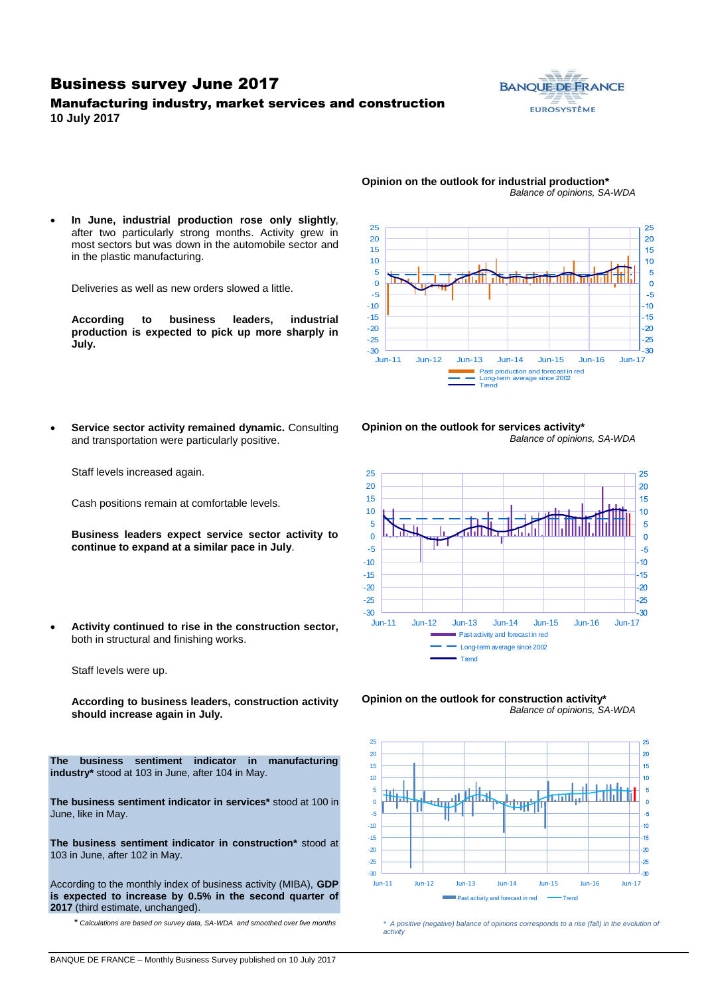### Business survey June 2017

### Manufacturing industry, market services and construction **10 July 2017**



*Balance of opinions, SA-WDA*

25 25 20 20 15 15 10  $10$ 5  $\overline{5}$  $\Omega$  $\Omega$ -5  $-5$ -10  $10<sup>10</sup>$ -15  $-15$ -20  $-20$  $-25$ -25  $-30$   $-$ <br>-30  $+$ -30 Jun-11 Jun-12 Jun-13 Jun-14 Jun-15 Jun-16 Jun-17 Past production and forecast in red Long-term average since 2002 Trend

**Opinion on the outlook for industrial production\***

after two particularly strong months. Activity grew in most sectors but was down in the automobile sector and in the plastic manufacturing.

**In June, industrial production rose only slightly**,

Deliveries as well as new orders slowed a little.

**According to business leaders, industrial production is expected to pick up more sharply in July.**

 **Service sector activity remained dynamic.** Consulting and transportation were particularly positive.

Cash positions remain at comfortable levels.

**continue to expand at a similar pace in July**.

both in structural and finishing works.

Staff levels were up.

Staff levels increased again.





**Business leaders expect service sector activity to Activity continued to rise in the construction sector,** 

**According to business leaders, construction activity should increase again in July.**

**The business sentiment indicator in manufacturing industry\*** stood at 103 in June, after 104 in May.

**The business sentiment indicator in services\*** stood at 100 in June, like in May.

**The business sentiment indicator in construction\*** stood at 103 in June, after 102 in May.

According to the monthly index of business activity (MIBA), **GDP is expected to increase by 0.5% in the second quarter of 2017** (third estimate, unchanged).

\* *Calculations are based on survey data, SA-WDA and smoothed over five months*

**Opinion on the outlook for construction activity\*** *Balance of opinions, SA-WDA*



*\* A positive (negative) balance of opinions corresponds to a rise (fall) in the evolution of activity*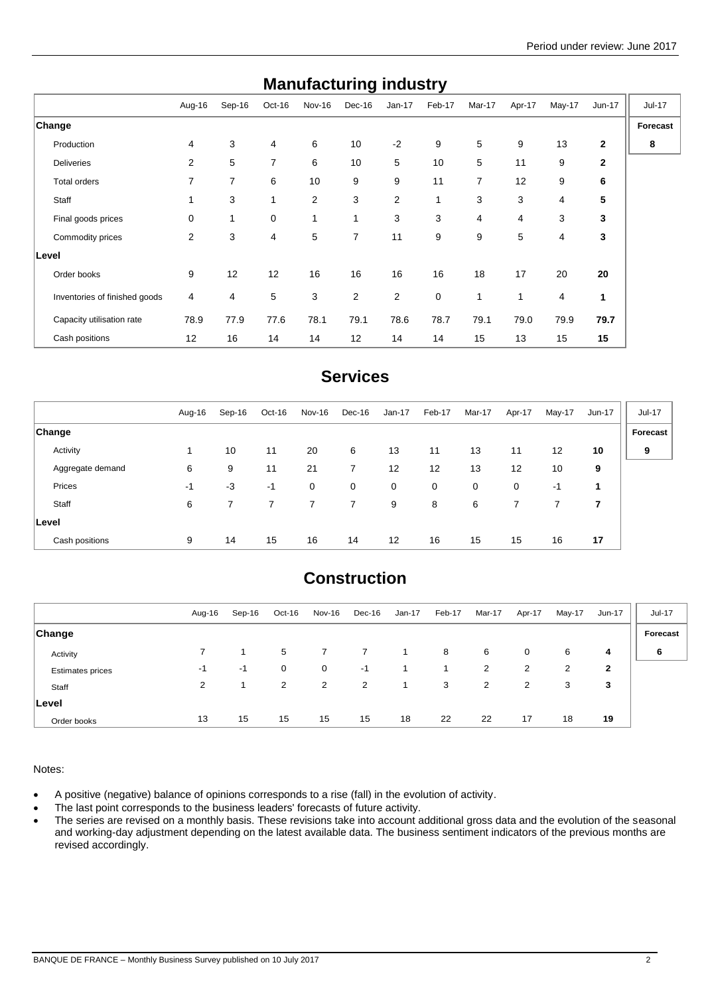| manuracturniy muusti y        |        |        |                |                |        |                |        |                |        |        |              |               |
|-------------------------------|--------|--------|----------------|----------------|--------|----------------|--------|----------------|--------|--------|--------------|---------------|
|                               | Aug-16 | Sep-16 | Oct-16         | Nov-16         | Dec-16 | $Jan-17$       | Feb-17 | Mar-17         | Apr-17 | May-17 | Jun-17       | <b>Jul-17</b> |
| Change                        |        |        |                |                |        |                |        |                |        |        |              | Forecast      |
| Production                    | 4      | 3      | 4              | 6              | 10     | $-2$           | 9      | 5              | 9      | 13     | $\mathbf{2}$ | 8             |
| <b>Deliveries</b>             | 2      | 5      | $\overline{7}$ | 6              | 10     | 5              | 10     | 5              | 11     | 9      | $\mathbf{2}$ |               |
| Total orders                  | 7      | 7      | 6              | 10             | 9      | 9              | 11     | 7              | 12     | 9      | 6            |               |
| Staff                         | 1      | 3      | $\mathbf{1}$   | $\overline{2}$ | 3      | $\overline{2}$ | 1      | 3              | 3      | 4      | 5            |               |
| Final goods prices            | 0      | 1      | 0              | $\mathbf{1}$   | 1      | 3              | 3      | $\overline{4}$ | 4      | 3      | 3            |               |
| Commodity prices              | 2      | 3      | 4              | 5              | 7      | 11             | 9      | 9              | 5      | 4      | 3            |               |
| Level                         |        |        |                |                |        |                |        |                |        |        |              |               |
| Order books                   | 9      | 12     | 12             | 16             | 16     | 16             | 16     | 18             | 17     | 20     | 20           |               |
| Inventories of finished goods | 4      | 4      | 5              | 3              | 2      | 2              | 0      | 1              | 1      | 4      | 1            |               |
| Capacity utilisation rate     | 78.9   | 77.9   | 77.6           | 78.1           | 79.1   | 78.6           | 78.7   | 79.1           | 79.0   | 79.9   | 79.7         |               |
| Cash positions                | 12     | 16     | 14             | 14             | 12     | 14             | 14     | 15             | 13     | 15     | 15           |               |

## **Manufacturing industry**

## **Services**

|                  | Aug-16 | Sep-16 | Oct-16 | Nov-16 | Dec-16 | $Jan-17$    | Feb-17      | Mar-17 | Apr-17 | May-17 | Jun-17         | <b>Jul-17</b> |
|------------------|--------|--------|--------|--------|--------|-------------|-------------|--------|--------|--------|----------------|---------------|
| <b>Change</b>    |        |        |        |        |        |             |             |        |        |        |                | Forecast      |
| Activity         | 1      | 10     | 11     | 20     | 6      | 13          | 11          | 13     | 11     | 12     | 10             | 9             |
| Aggregate demand | 6      | 9      | 11     | 21     | 7      | 12          | 12          | 13     | 12     | 10     | 9              |               |
| Prices           | -1     | $-3$   | -1     | 0      | 0      | $\mathbf 0$ | $\mathbf 0$ | 0      | 0      | -1     | 1              |               |
| Staff            | 6      |        |        | 7      | 7      | 9           | 8           | 6      |        |        | $\overline{7}$ |               |
| Level            |        |        |        |        |        |             |             |        |        |        |                |               |
| Cash positions   | 9      | 14     | 15     | 16     | 14     | -12         | 16          | 15     | 15     | 16     | 17             |               |

# **Construction**

|                         | Aug-16         | Sep-16 | Oct-16      | Nov-16 | Dec-16 | Jan-17 | Feb-17 | Mar-17 | Apr-17         | May-17 | Jun-17 | Jul-17   |
|-------------------------|----------------|--------|-------------|--------|--------|--------|--------|--------|----------------|--------|--------|----------|
| Change                  |                |        |             |        |        |        |        |        |                |        |        | Forecast |
| Activity                |                |        | 5           |        |        |        | 8      | 6      | 0              | 6      | 4      | 6        |
| <b>Estimates prices</b> | -1             | $-1$   | $\mathbf 0$ | 0      | $-1$   |        |        | 2      | 2              | 2      | 2      |          |
| Staff                   | $\overline{2}$ |        | 2           | 2      | 2      |        | 3      | 2      | $\overline{2}$ | 3      | 3      |          |
| Level                   |                |        |             |        |        |        |        |        |                |        |        |          |
| Order books             | 13             | 15     | 15          | 15     | 15     | 18     | 22     | 22     | 17             | 18     | 19     |          |

Notes:

A positive (negative) balance of opinions corresponds to a rise (fall) in the evolution of activity.

• The last point corresponds to the business leaders' forecasts of future activity.

• The series are revised on a monthly basis. These revisions take into account additional gross data and the evolution of the seasonal and working-day adjustment depending on the latest available data. The business sentiment indicators of the previous months are revised accordingly.